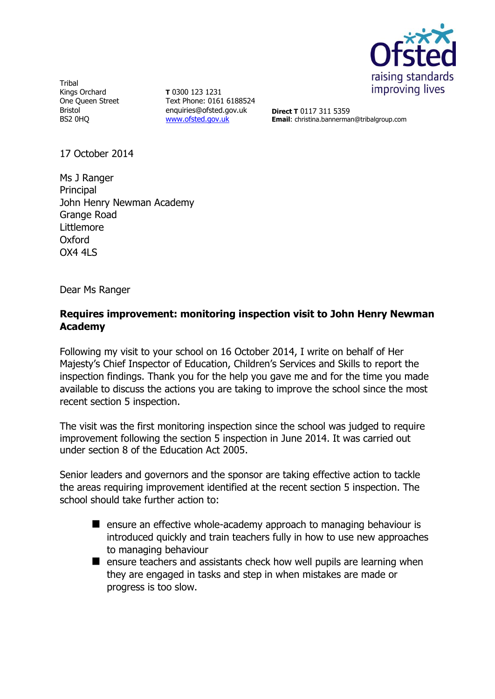

**Tribal** Kings Orchard One Queen Street Bristol BS2 0HQ

**T** 0300 123 1231 Text Phone: 0161 6188524 enquiries@ofsted.gov.uk [www.ofsted.gov.uk](http://www.ofsted.gov.uk/)

**Direct T** 0117 311 5359 **Email**: christina.bannerman@tribalgroup.com

17 October 2014

Ms J Ranger Principal John Henry Newman Academy Grange Road Littlemore **Oxford** OX4 4LS

Dear Ms Ranger

# **Requires improvement: monitoring inspection visit to John Henry Newman Academy**

Following my visit to your school on 16 October 2014, I write on behalf of Her Majesty's Chief Inspector of Education, Children's Services and Skills to report the inspection findings. Thank you for the help you gave me and for the time you made available to discuss the actions you are taking to improve the school since the most recent section 5 inspection.

The visit was the first monitoring inspection since the school was judged to require improvement following the section 5 inspection in June 2014. It was carried out under section 8 of the Education Act 2005.

Senior leaders and governors and the sponsor are taking effective action to tackle the areas requiring improvement identified at the recent section 5 inspection. The school should take further action to:

- $\blacksquare$  ensure an effective whole-academy approach to managing behaviour is introduced quickly and train teachers fully in how to use new approaches to managing behaviour
- $\blacksquare$  ensure teachers and assistants check how well pupils are learning when they are engaged in tasks and step in when mistakes are made or progress is too slow.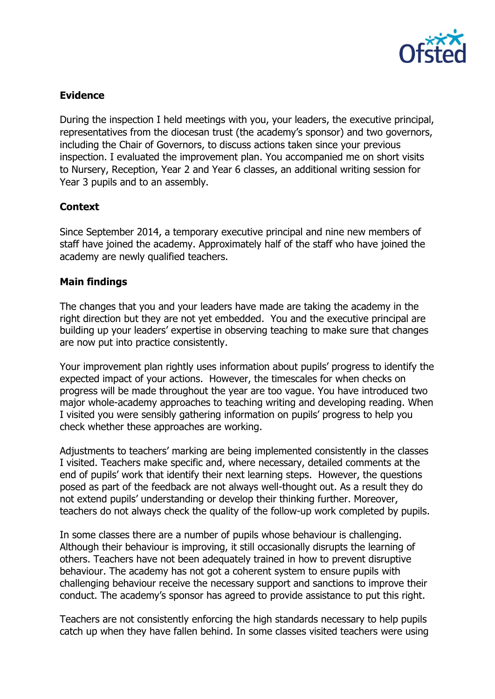

# **Evidence**

During the inspection I held meetings with you, your leaders, the executive principal, representatives from the diocesan trust (the academy's sponsor) and two governors, including the Chair of Governors, to discuss actions taken since your previous inspection. I evaluated the improvement plan. You accompanied me on short visits to Nursery, Reception, Year 2 and Year 6 classes, an additional writing session for Year 3 pupils and to an assembly.

## **Context**

Since September 2014, a temporary executive principal and nine new members of staff have joined the academy. Approximately half of the staff who have joined the academy are newly qualified teachers.

## **Main findings**

The changes that you and your leaders have made are taking the academy in the right direction but they are not yet embedded. You and the executive principal are building up your leaders' expertise in observing teaching to make sure that changes are now put into practice consistently.

Your improvement plan rightly uses information about pupils' progress to identify the expected impact of your actions. However, the timescales for when checks on progress will be made throughout the year are too vague. You have introduced two major whole-academy approaches to teaching writing and developing reading. When I visited you were sensibly gathering information on pupils' progress to help you check whether these approaches are working.

Adjustments to teachers' marking are being implemented consistently in the classes I visited. Teachers make specific and, where necessary, detailed comments at the end of pupils' work that identify their next learning steps. However, the questions posed as part of the feedback are not always well-thought out. As a result they do not extend pupils' understanding or develop their thinking further. Moreover, teachers do not always check the quality of the follow-up work completed by pupils.

In some classes there are a number of pupils whose behaviour is challenging. Although their behaviour is improving, it still occasionally disrupts the learning of others. Teachers have not been adequately trained in how to prevent disruptive behaviour. The academy has not got a coherent system to ensure pupils with challenging behaviour receive the necessary support and sanctions to improve their conduct. The academy's sponsor has agreed to provide assistance to put this right.

Teachers are not consistently enforcing the high standards necessary to help pupils catch up when they have fallen behind. In some classes visited teachers were using